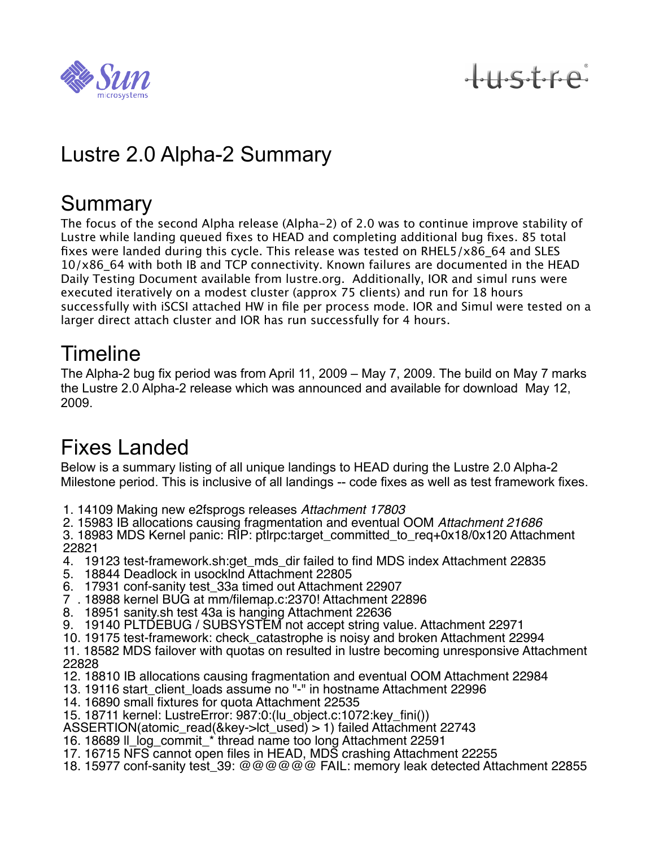

# tustre

## Lustre 2.0 Alpha-2 Summary

#### **Summary**

The focus of the second Alpha release (Alpha-2) of 2.0 was to continue improve stability of Lustre while landing queued fixes to HEAD and completing additional bug fixes. 85 total fixes were landed during this cycle. This release was tested on RHEL5/x86\_64 and SLES 10/x86\_64 with both IB and TCP connectivity. Known failures are documented in the HEAD Daily Testing Document available from lustre.org. Additionally, IOR and simul runs were executed iteratively on a modest cluster (approx 75 clients) and run for 18 hours successfully with iSCSI attached HW in file per process mode. IOR and Simul were tested on a larger direct attach cluster and IOR has run successfully for 4 hours.

#### **Timeline**

The Alpha-2 bug fix period was from April 11, 2009 – May 7, 2009. The build on May 7 marks the Lustre 2.0 Alpha-2 release which was announced and available for download May 12, 2009.

### Fixes Landed

Below is a summary listing of all unique landings to HEAD during the Lustre 2.0 Alpha-2 Milestone period. This is inclusive of all landings -- code fixes as well as test framework fixes.

- 1. 14109 Making new e2fsprogs releases *Attachment 17803*
- 2. 15983 IB allocations causing fragmentation and eventual OOM *Attachment 21686*

3. 18983 MDS Kernel panic: RIP: ptlrpc:target\_committed\_to\_req+0x18/0x120 Attachment 22821

- 4. 19123 test-framework.sh:get\_mds\_dir failed to find MDS index Attachment 22835
- 5. 18844 Deadlock in usocklnd Attachment 22805
- 6. 17931 conf-sanity test\_33a timed out Attachment 22907
- 7 . 18988 kernel BUG at mm/filemap.c:2370! Attachment 22896
- 8. 18951 sanity.sh test 43a is hanging Attachment 22636
- 9. 19140 PLTDEBUG / SUBSYSTEM not accept string value. Attachment 22971
- 10. 19175 test-framework: check\_catastrophe is noisy and broken Attachment 22994
- 11. 18582 MDS failover with quotas on resulted in lustre becoming unresponsive Attachment 22828
- 12. 18810 IB allocations causing fragmentation and eventual OOM Attachment 22984
- 13. 19116 start\_client\_loads assume no "-" in hostname Attachment 22996
- 14. 16890 small fixtures for quota Attachment 22535
- 15. 18711 kernel: LustreError: 987:0:(lu\_object.c:1072:key\_fini())
- ASSERTION(atomic\_read(&key->lct\_used) > 1) failed Attachment 22743
- 16. 18689 ll\_log\_commit\_\* thread name too long Attachment 22591
- 17. 16715 NFS cannot open files in HEAD, MDS crashing Attachment 22255
- 18. 15977 conf-sanity test\_39: @@@@@@ FAIL: memory leak detected Attachment 22855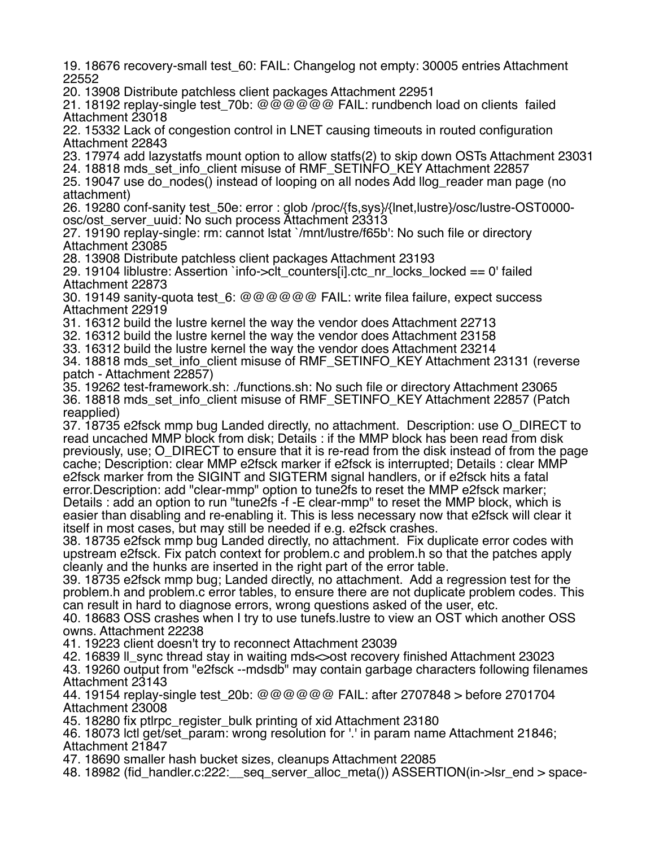19. 18676 recovery-small test\_60: FAIL: Changelog not empty: 30005 entries Attachment 22552

20. 13908 Distribute patchless client packages Attachment 22951

21. 18192 replay-single test 70b: @@@@@@ FAIL: rundbench load on clients failed Attachment 23018

22. 15332 Lack of congestion control in LNET causing timeouts in routed configuration Attachment 22843

23. 17974 add lazystatfs mount option to allow statfs(2) to skip down OSTs Attachment 23031

24. 18818 mds\_set\_info\_client misuse of RMF\_SETINFO\_KEY Attachment 22857

25. 19047 use do\_nodes() instead of looping on all nodes Add llog\_reader man page (no attachment)

26. 19280 conf-sanity test\_50e: error : glob /proc/{fs,sys}/{lnet,lustre}/osc/lustre-OST0000 osc/ost\_server\_uuid: No such process Attachment 23313

27. 19190 replay-single: rm: cannot lstat `/mnt/lustre/f65b': No such file or directory Attachment 23085

28. 13908 Distribute patchless client packages Attachment 23193

29. 19104 liblustre: Assertion `info- $>$ clt counters[i].ctc\_nr\_locks\_locked == 0' failed Attachment 22873

30. 19149 sanity-quota test\_6: @@@@@@ FAIL: write filea failure, expect success Attachment 22919

31. 16312 build the lustre kernel the way the vendor does Attachment 22713

32. 16312 build the lustre kernel the way the vendor does Attachment 23158

33. 16312 build the lustre kernel the way the vendor does Attachment 23214

34. 18818 mds\_set\_info\_client misuse of RMF\_SETINFO\_KEY Attachment 23131 (reverse patch - Attachment 22857)

35. 19262 test-framework.sh: ./functions.sh: No such file or directory Attachment 23065 36. 18818 mds\_set\_info\_client misuse of RMF\_SETINFO\_KEY Attachment 22857 (Patch reapplied)

37. 18735 e2fsck mmp bug Landed directly, no attachment. Description: use O\_DIRECT to read uncached MMP block from disk; Details : if the MMP block has been read from disk previously, use; O\_DIRECT to ensure that it is re-read from the disk instead of from the page cache; Description: clear MMP e2fsck marker if e2fsck is interrupted; Details : clear MMP e2fsck marker from the SIGINT and SIGTERM signal handlers, or if e2fsck hits a fatal error.Description: add "clear-mmp" option to tune2fs to reset the MMP e2fsck marker; Details : add an option to run "tune2fs -f -E clear-mmp" to reset the MMP block, which is easier than disabling and re-enabling it. This is less necessary now that e2fsck will clear it itself in most cases, but may still be needed if e.g. e2fsck crashes.

38. 18735 e2fsck mmp bug Landed directly, no attachment. Fix duplicate error codes with upstream e2fsck. Fix patch context for problem.c and problem.h so that the patches apply cleanly and the hunks are inserted in the right part of the error table.

39. 18735 e2fsck mmp bug; Landed directly, no attachment. Add a regression test for the problem.h and problem.c error tables, to ensure there are not duplicate problem codes. This can result in hard to diagnose errors, wrong questions asked of the user, etc.

40. 18683 OSS crashes when I try to use tunefs.lustre to view an OST which another OSS owns. Attachment 22238

41. 19223 client doesn't try to reconnect Attachment 23039

42. 16839 ll\_sync thread stay in waiting mds<>ost recovery finished Attachment 23023

43. 19260 output from "e2fsck --mdsdb" may contain garbage characters following filenames Attachment 23143

44. 19154 replay-single test\_20b: @@@@@@ FAIL: after 2707848 > before 2701704 Attachment 23008

45. 18280 fix ptlrpc\_register\_bulk printing of xid Attachment 23180

46. 18073 lctl get/set\_param: wrong resolution for '.' in param name Attachment 21846; Attachment 21847

47. 18690 smaller hash bucket sizes, cleanups Attachment 22085

48. 18982 (fid handler.c:222: seq server alloc meta()) ASSERTION(in->lsr\_end > space-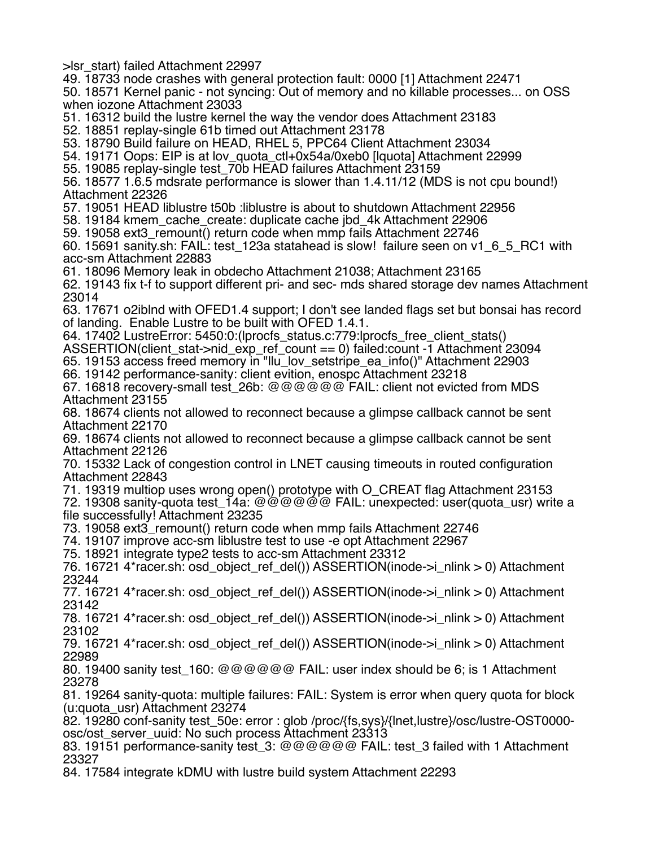>lsr\_start) failed Attachment 22997

49. 18733 node crashes with general protection fault: 0000 [1] Attachment 22471 50. 18571 Kernel panic - not syncing: Out of memory and no killable processes... on OSS when iozone Attachment 23033

51. 16312 build the lustre kernel the way the vendor does Attachment 23183

52. 18851 replay-single 61b timed out Attachment 23178

53. 18790 Build failure on HEAD, RHEL 5, PPC64 Client Attachment 23034

54. 19171 Oops: EIP is at lov\_quota\_ctl+0x54a/0xeb0 [lquota] Attachment 22999

55. 19085 replay-single test\_70b HEAD failures Attachment 23159

56. 18577 1.6.5 mdsrate performance is slower than 1.4.11/12 (MDS is not cpu bound!) Attachment 22326

57. 19051 HEAD liblustre t50b :liblustre is about to shutdown Attachment 22956

58. 19184 kmem\_cache\_create: duplicate cache jbd\_4k Attachment 22906

59. 19058 ext3\_remount() return code when mmp fails Attachment 22746

60. 15691 sanity.sh: FAIL: test\_123a statahead is slow! failure seen on v1\_6\_5\_RC1 with acc-sm Attachment 22883

61. 18096 Memory leak in obdecho Attachment 21038; Attachment 23165

62. 19143 fix t-f to support different pri- and sec- mds shared storage dev names Attachment 23014

63. 17671 o2iblnd with OFED1.4 support; I don't see landed flags set but bonsai has record of landing. Enable Lustre to be built with OFED 1.4.1.

64. 17402 LustreError: 5450:0:(lprocfs\_status.c:779:lprocfs\_free\_client\_stats()

ASSERTION(client\_stat->nid\_exp\_ref\_count == 0) failed:count -1 Attachment 23094

65. 19153 access freed memory in "llu\_lov\_setstripe\_ea\_info()" Attachment 22903

66. 19142 performance-sanity: client evition, enospc Attachment 23218

67. 16818 recovery-small test\_26b: @@@@@@ FAIL: client not evicted from MDS Attachment 23155

68. 18674 clients not allowed to reconnect because a glimpse callback cannot be sent Attachment 22170

69. 18674 clients not allowed to reconnect because a glimpse callback cannot be sent Attachment 22126

70. 15332 Lack of congestion control in LNET causing timeouts in routed configuration Attachment 22843

71. 19319 multiop uses wrong open() prototype with O\_CREAT flag Attachment 23153

72. 19308 sanity-quota test\_14a: @@@@@@ FAIL: unexpected: user(quota\_usr) write a file successfully! Attachment 23235

73. 19058 ext3\_remount() return code when mmp fails Attachment 22746

74. 19107 improve acc-sm liblustre test to use -e opt Attachment 22967

75. 18921 integrate type2 tests to acc-sm Attachment 23312

76. 16721 4\*racer.sh: osd\_object\_ref\_del()) ASSERTION(inode->i\_nlink > 0) Attachment 23244

77. 16721 4\*racer.sh: osd\_object\_ref\_del()) ASSERTION(inode->i\_nlink > 0) Attachment 23142

78. 16721 4\*racer.sh: osd\_object\_ref\_del()) ASSERTION(inode->i\_nlink > 0) Attachment 23102

79. 16721 4\*racer.sh: osd\_object\_ref\_del()) ASSERTION(inode->i\_nlink > 0) Attachment 22989

80. 19400 sanity test\_160: @@@@@@ FAIL: user index should be 6; is 1 Attachment 23278

81. 19264 sanity-quota: multiple failures: FAIL: System is error when query quota for block (u:quota\_usr) Attachment 23274

82. 19280 conf-sanity test\_50e: error : glob /proc/{fs,sys}/{lnet,lustre}/osc/lustre-OST0000 osc/ost\_server\_uuid: No such process Attachment 23313

83. 19151 performance-sanity test\_3: @@@@@@ FAIL: test\_3 failed with 1 Attachment 23327

84. 17584 integrate kDMU with lustre build system Attachment 22293